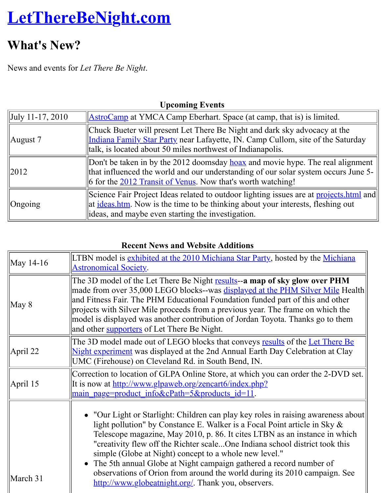News and events for *Let There Be Night*.

| $ $ July 11-17, 2010 | <b>AstroCamp</b> at YMCA Camp Eberhart. Space (at camp, that is) is limit                                                                                                                                          |
|----------------------|--------------------------------------------------------------------------------------------------------------------------------------------------------------------------------------------------------------------|
| August 7             | Chuck Bueter will present Let There Be Night and dark sky advocacy<br>Indiana Family Star Party near Lafayette, IN. Camp Cullom, site of th<br>talk, is located about 50 miles northwest of Indianapolis.          |
| 2012                 | Don't be taken in by the 2012 doomsday hoax and movie hype. The re<br>that influenced the world and our understanding of our solar system of<br>6 for the 2012 Transit of Venus. Now that's worth watching!        |
| $O$ ngoing           | Science Fair Project Ideas related to outdoor lighting issues are at proj<br>at <u>ideas.htm</u> . Now is the time to be thinking about your interests, flesh<br>ideas, and maybe even starting the investigation. |

#### **Upcoming Events**

#### **[Recent News and We](http://www.transitofvenus.org/)bsite Additions**

| May 14-16       | LTBN model is exhibited at the 2010 Michiana Star Party, hosted by the M<br><b>Astronomical Society.</b>                                                                                                                                                                                                                                                                                                                                                                                                                                                         |
|-----------------|------------------------------------------------------------------------------------------------------------------------------------------------------------------------------------------------------------------------------------------------------------------------------------------------------------------------------------------------------------------------------------------------------------------------------------------------------------------------------------------------------------------------------------------------------------------|
| $\text{May } 8$ | The 3D model of the Let There Be Night results--a map of sky glow over<br>made from over 35,000 LEGO blocks--was displayed at the PHM Silver M<br>and Fitness Fair. The PHM Educational Foundation funded part of this and<br>projects with Silver Mile proceeds from a previous year. The frame on whi<br>model is displayed was another contribution of Jordan Toyota. Thanks go t<br>and other <b>supporters</b> of Let There Be Night.                                                                                                                       |
| April 22        | The 3D model made out of LEGO blocks that conveys results of the Let T<br>Night experiment was displayed at the 2nd Annual Earth Day Celebration<br>UMC (Firehouse) on Cleveland Rd. in South Bend, IN.                                                                                                                                                                                                                                                                                                                                                          |
| April 15        | Correction to location of GLPA Online Store, at which you can order the 2<br>It is now at <u>http://www.glpaweb.org/zencart6/index.php?</u><br><u>main page=product info&amp;cPath=5&amp;products id=11</u> .                                                                                                                                                                                                                                                                                                                                                    |
| March 31        | • "Our Light or Starlight: Children can play key roles in raising aware<br>light pollution" by Constance E. Walker is a Focal Point article in Sk<br>Telescope magazine, May 2010, p. 86. It cites LTBN as an instance i<br>"creativity flew off the Richter scaleOne Indiana school district too<br>simple (Globe at Night) concept to a whole new level."<br>• The 5th annual Globe at Night campaign gathered a record number of<br>observations of Orion from around the world during its 2010 campai<br>http://www.globeatnight.org/. Thank you, observers. |
|                 |                                                                                                                                                                                                                                                                                                                                                                                                                                                                                                                                                                  |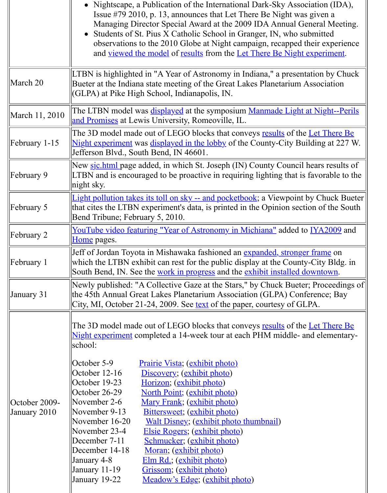| March 20                      | LTBN is highlighted in "A Year of Astronomy in Indiana," a presentation b<br>Bueter at the Indiana state meeting of the Great Lakes Planetarium Associa<br>(GLPA) at Pike High School, Indianapolis, IN.                                                                                                                                                                                                                                                                                                                                                                                                                                                                                                                                                                                                                                |
|-------------------------------|-----------------------------------------------------------------------------------------------------------------------------------------------------------------------------------------------------------------------------------------------------------------------------------------------------------------------------------------------------------------------------------------------------------------------------------------------------------------------------------------------------------------------------------------------------------------------------------------------------------------------------------------------------------------------------------------------------------------------------------------------------------------------------------------------------------------------------------------|
| March 11, 2010                | The LTBN model was <b>displayed</b> at the symposium Manmade Light at Night<br>and Promises at Lewis University, Romeoville, IL.                                                                                                                                                                                                                                                                                                                                                                                                                                                                                                                                                                                                                                                                                                        |
| February 1-15                 | The 3D model made out of LEGO blocks that conveys results of the Let Tl<br>Night experiment was displayed in the lobby of the County-City Building<br>Jefferson Blvd., South Bend, IN 46601.                                                                                                                                                                                                                                                                                                                                                                                                                                                                                                                                                                                                                                            |
| February 9                    | New sichtml page added, in which St. Joseph (IN) County Council hears r<br>LTBN and is encouraged to be proactive in requiring lighting that is favora<br>$\ln \frac{1}{2}$ right sky.                                                                                                                                                                                                                                                                                                                                                                                                                                                                                                                                                                                                                                                  |
| February 5                    | Light pollution takes its toll on sky -- and pocketbook; a Viewpoint by Chu<br>that cites the LTBN experiment's data, is printed in the Opinion section of<br>Bend Tribune; February 5, 2010.                                                                                                                                                                                                                                                                                                                                                                                                                                                                                                                                                                                                                                           |
| February 2                    | <u>YouTube video featuring "Year of Astronomy in Michiana"</u> added to IYA2<br>Home pages.                                                                                                                                                                                                                                                                                                                                                                                                                                                                                                                                                                                                                                                                                                                                             |
| February 1                    | Jeff of Jordan Toyota in Mishawaka fashioned an expanded, stronger frame<br>which the LTBN exhibit can rest for the public display at the County-City<br>South Bend, IN. See the work in progress and the exhibit installed downto                                                                                                                                                                                                                                                                                                                                                                                                                                                                                                                                                                                                      |
| January 31                    | Newly published: "A Collective Gaze at the Stars," by Chuck Bueter; Proc<br>the 45th Annual Great Lakes Planetarium Association (GLPA) Conference<br>City, MI, October 21-24, 2009. See <u>text</u> of the paper, courtesy of GLPA.                                                                                                                                                                                                                                                                                                                                                                                                                                                                                                                                                                                                     |
| October 2009-<br>January 2010 | The 3D model made out of LEGO blocks that conveys results of the Let T<br>Night experiment completed a 14-week tour at each PHM middle- and eler<br>school:<br>October 5-9<br><u>Prairie Vista; (exhibit photo)</u><br>October $12-16$<br>Discovery; (exhibit photo)<br>October 19-23<br>Horizon; (exhibit photo)<br>October 26-29<br><u>North Point; (exhibit photo)</u><br>November $2-6$<br>Mary Frank; (exhibit photo)<br>November 9-13<br>Bittersweet; (exhibit photo)<br>November 16-20<br><b>Walt Disney</b> ; (exhibit photo thumbnail)<br>Elsie Rogers; (exhibit photo)<br>November 23-4<br>December 7-11<br>Schmucker; (exhibit photo)<br>December 14-18<br>Moran; (exhibit photo)<br>Elm Rd.; (exhibit photo)<br>January 4-8<br>Grissom; (exhibit photo)<br>January 11-19<br>January 19-22<br>Meadow's Edge; (exhibit photo) |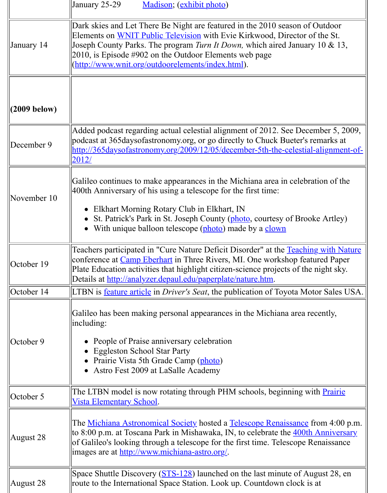| (2009 below) |                                                                                                                                                                                                                                                                                                               |
|--------------|---------------------------------------------------------------------------------------------------------------------------------------------------------------------------------------------------------------------------------------------------------------------------------------------------------------|
| December 9   | Added podcast regarding actual celestial alignment of 2012. See December<br>podcast at 365 days of astronomy org, or go directly to Chuck Bueter's remain-<br>http://365daysofastronomy.org/2009/12/05/december-5th-the-celestial-alig<br>2012/                                                               |
| November 10  | Galileo continues to make appearances in the Michiana area in celebration<br>400th Anniversary of his using a telescope for the first time:                                                                                                                                                                   |
|              | Elkhart Morning Rotary Club in Elkhart, IN<br>St. Patrick's Park in St. Joseph County (photo, courtesy of Brooke A<br>With unique balloon telescope (photo) made by a clown                                                                                                                                   |
| October 19   | Teachers participated in "Cure Nature Deficit Disorder" at the Teaching wi<br>conference at <i>Camp Eberhart</i> in Three Rivers, MI. One workshop featured<br>Plate Education activities that highlight citizen-science projects of the nigh<br>Details at http://analyzer.depaul.edu/paperplate/nature.htm. |
| October 14   | LTBN is <u>feature article</u> in <i>Driver's Seat</i> , the publication of Toyota Motor S                                                                                                                                                                                                                    |
| October 9    | Galileo has been making personal appearances in the Michiana area recent<br> including:<br>People of Praise anniversary celebration<br><b>Eggleston School Star Party</b><br>Prairie Vista 5th Grade Camp (photo)                                                                                             |
|              | Astro Fest 2009 at LaSalle Academy                                                                                                                                                                                                                                                                            |
| October 5    | The LTBN model is now rotating through PHM schools, beginning with <b>P</b><br><u>Vista Elementary School.</u>                                                                                                                                                                                                |
| August 28    | The <u>Michiana Astronomical Society</u> hosted a <u>Telescope Renaissance</u> from<br>to 8:00 p.m. at Toscana Park in Mishawaka, IN, to celebrate the 400th Ann<br>of Galileo's looking through a telescope for the first time. Telescope Renais<br>images are at http://www.michiana-astro.org/.            |
| August 28    | Space Shuttle Discovery (STS-128) launched on the last minute of August<br>route to the International Space Station. Look up. Countdown clock is at                                                                                                                                                           |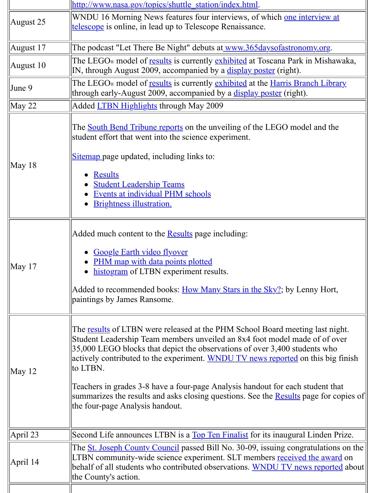|                  | IN, through August 2009, accompanied by a display poster (right).                                                                                                                                                                                                                                                                                                                                                                                                                                                               |
|------------------|---------------------------------------------------------------------------------------------------------------------------------------------------------------------------------------------------------------------------------------------------------------------------------------------------------------------------------------------------------------------------------------------------------------------------------------------------------------------------------------------------------------------------------|
| June $9$         | The LEGO <sub>®</sub> model of results is currently exhibited at the Harris Branch Li                                                                                                                                                                                                                                                                                                                                                                                                                                           |
|                  | through early-August 2009, accompanied by a <u>display poster</u> (right).                                                                                                                                                                                                                                                                                                                                                                                                                                                      |
| $\text{May } 22$ | Added <b>LTBN</b> Highlights through May 2009                                                                                                                                                                                                                                                                                                                                                                                                                                                                                   |
| May 18           | The <b>South Bend Tribune reports</b> on the unveiling of the LEGO model and<br>student effort that went into the science experiment.<br>Sitemap page updated, including links to:<br><b>Results</b><br>$\bullet$<br><b>Student Leadership Teams</b><br>Events at individual PHM schools<br><b>Brightness illustration.</b>                                                                                                                                                                                                     |
| May $17$         | Added much content to the <b>Results</b> page including:<br><b>Google Earth video flyover</b><br><b>PHM</b> map with data points plotted<br>histogram of LTBN experiment results.<br>$\bullet$<br>Added to recommended books: How Many Stars in the Sky?; by Lenny Ho<br>paintings by James Ransome.                                                                                                                                                                                                                            |
| May 12           | The <u>results</u> of LTBN were released at the PHM School Board meeting last<br>Student Leadership Team members unveiled an 8x4 foot model made of of<br>35,000 LEGO blocks that depict the observations of over 3,400 students w<br>actively contributed to the experiment. WNDU TV news reported on this b<br>to LTBN.<br>Teachers in grades 3-8 have a four-page Analysis handout for each student<br>summarizes the results and asks closing questions. See the <b>Results</b> page for<br>the four-page Analysis handout. |
| April 23         | Second Life announces LTBN is a Top Ten Finalist for its inaugural Linder                                                                                                                                                                                                                                                                                                                                                                                                                                                       |
|                  | The <u>St. Joseph County Council</u> passed Bill No. 30-09, issuing congratulation                                                                                                                                                                                                                                                                                                                                                                                                                                              |
| April 14         | LTBN community-wide science experiment. SLT members received the av<br>behalf of all students who contributed observations. WNDU TV news repo<br>the County's action.                                                                                                                                                                                                                                                                                                                                                           |
|                  |                                                                                                                                                                                                                                                                                                                                                                                                                                                                                                                                 |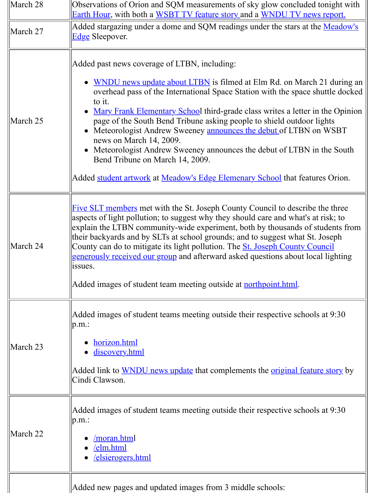| March 25 | • WNDU news update about LTBN is filmed at Elm Rd. on March 21<br>overhead pass of the International Space Station with the space shutt<br>to it.<br>• Mary Frank Elementary School third-grade class writes a letter in the<br>page of the South Bend Tribune asking people to shield outdoor ligh<br>• Meteorologist Andrew Sweeney announces the debut of LTBN on W<br>news on March 14, 2009.<br>• Meteorologist Andrew Sweeney announces the debut of LTBN in the<br>Bend Tribune on March 14, 2009.<br>Added student artwork at Meadow's Edge Elemenary School that features |
|----------|------------------------------------------------------------------------------------------------------------------------------------------------------------------------------------------------------------------------------------------------------------------------------------------------------------------------------------------------------------------------------------------------------------------------------------------------------------------------------------------------------------------------------------------------------------------------------------|
| March 24 | <b>Five SLT members met with the St. Joseph County Council to describe the</b><br>aspects of light pollution; to suggest why they should care and what's at ris<br>explain the LTBN community-wide experiment, both by thousands of stude<br>their backyards and by SLTs at school grounds; and to suggest what St. Jos<br>County can do to mitigate its light pollution. The <b>St. Joseph County Counc</b><br>generously received our group and afterward asked questions about local li<br>issues.<br>Added images of student team meeting outside at <b>northpoint.html</b> .  |
| March 23 | Added images of student teams meeting outside their respective schools at<br>$ p.m.$ :<br>horizon.html<br>discovery.html<br>Added link to WNDU news update that complements the <u>original feature</u> s<br>Cindi Clawson.                                                                                                                                                                                                                                                                                                                                                        |
| March 22 | Added images of student teams meeting outside their respective schools at<br>$ p.m.$ :<br>/moran.html<br><u>/elm.html</u><br>elsierogers.html                                                                                                                                                                                                                                                                                                                                                                                                                                      |
|          | Added new pages and updated images from 3 middle schools:                                                                                                                                                                                                                                                                                                                                                                                                                                                                                                                          |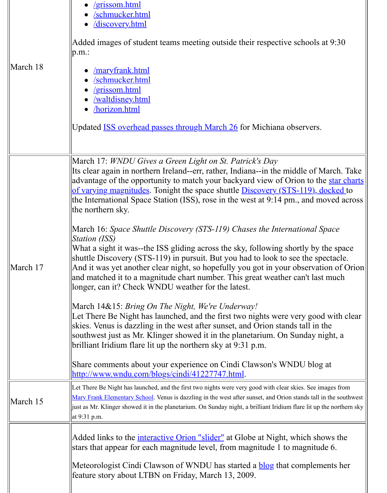|          | <u>/maryfrank.html</u><br>/schmucker.html<br>/grissom.html<br><u>/waltdisney.html</u><br>horizon.html<br>Updated <b>ISS</b> overhead passes through March 26 for Michiana observers.                                                                                                                                                                                                                                                                                                  |
|----------|---------------------------------------------------------------------------------------------------------------------------------------------------------------------------------------------------------------------------------------------------------------------------------------------------------------------------------------------------------------------------------------------------------------------------------------------------------------------------------------|
|          | March 17: WNDU Gives a Green Light on St. Patrick's Day<br>Its clear again in northern Ireland--err, rather, Indiana--in the middle of Ma<br>advantage of the opportunity to match your backyard view of Orion to the<br>of varying magnitudes. Tonight the space shuttle Discovery (STS-119), do<br>the International Space Station (ISS), rose in the west at 9:14 pm., and mov<br>the northern sky.                                                                                |
| March 17 | March 16: Space Shuttle Discovery (STS-119) Chases the International Spe<br><i>Station (ISS)</i><br>What a sight it was--the ISS gliding across the sky, following shortly by the<br>shuttle Discovery (STS-119) in pursuit. But you had to look to see the spec<br>And it was yet another clear night, so hopefully you got in your observation<br>and matched it to a magnitude chart number. This great weather can't last n<br>longer, can it? Check WNDU weather for the latest. |
|          | March 14&15: Bring On The Night, We're Underway!<br>Let There Be Night has launched, and the first two nights were very good<br>skies. Venus is dazzling in the west after sunset, and Orion stands tall in the<br>southwest just as Mr. Klinger showed it in the planetarium. On Sunday nig<br>brilliant Iridium flare lit up the northern sky at 9:31 p.m.<br>Share comments about your experience on Cindi Clawson's WNDU blog a                                                   |
|          | http://www.wndu.com/blogs/cindi/41227747.html.                                                                                                                                                                                                                                                                                                                                                                                                                                        |
| March 15 | Let There Be Night has launched, and the first two nights were very good with clear skies. See imag<br>Mary Frank Elementary School. Venus is dazzling in the west after sunset, and Orion stands tall in t<br>just as Mr. Klinger showed it in the planetarium. On Sunday night, a brilliant Iridium flare lit up the<br>at 9:31 p.m.                                                                                                                                                |
|          | Added links to the <i>interactive Orion "slider"</i> at Globe at Night, which show<br>stars that appear for each magnitude level, from magnitude 1 to magnitude                                                                                                                                                                                                                                                                                                                       |
|          | Meteorologist Cindi Clawson of WNDU has started a <b>blog</b> that complemen<br>feature story about LTBN on Friday, March 13, 2009.                                                                                                                                                                                                                                                                                                                                                   |
|          |                                                                                                                                                                                                                                                                                                                                                                                                                                                                                       |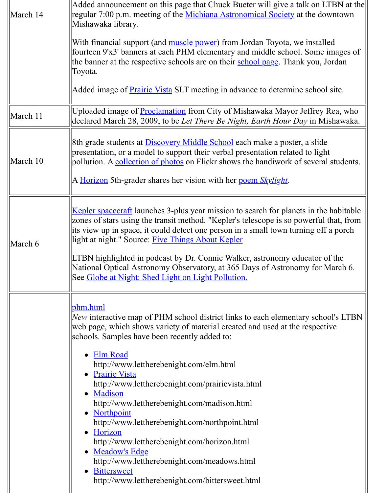|          | Toyota.                                                                                                                                                                                                                                                                                                                                                                                                                                                                                                                                                                                                                                                                                                                        |
|----------|--------------------------------------------------------------------------------------------------------------------------------------------------------------------------------------------------------------------------------------------------------------------------------------------------------------------------------------------------------------------------------------------------------------------------------------------------------------------------------------------------------------------------------------------------------------------------------------------------------------------------------------------------------------------------------------------------------------------------------|
|          | Added image of <b>Prairie Vista</b> SLT meeting in advance to determine school                                                                                                                                                                                                                                                                                                                                                                                                                                                                                                                                                                                                                                                 |
| March 11 | Uploaded image of <b>Proclamation</b> from City of Mishawaka Mayor Jeffrey F<br>declared March 28, 2009, to be Let There Be Night, Earth Hour Day in Mi                                                                                                                                                                                                                                                                                                                                                                                                                                                                                                                                                                        |
| March 10 | 8th grade students at <b>Discovery Middle School</b> each make a poster, a slide<br>presentation, or a model to support their verbal presentation related to light<br>pollution. A collection of photos on Flickr shows the handiwork of several<br>A Horizon 5th-grader shares her vision with her poem Skylight.                                                                                                                                                                                                                                                                                                                                                                                                             |
| March 6  | <u>Kepler spacecraft</u> launches 3-plus year mission to search for planets in the<br>zones of stars using the transit method. "Kepler's telescope is so powerful t<br>its view up in space, it could detect one person in a small town turning off<br>light at night." Source: Five Things About Kepler<br>LTBN highlighted in podcast by Dr. Connie Walker, astronomy educator of<br>National Optical Astronomy Observatory, at 365 Days of Astronomy for M<br>See Globe at Night: Shed Light on Light Pollution.                                                                                                                                                                                                            |
|          | <u>phm.html</u><br>New interactive map of PHM school district links to each elementary school<br>web page, which shows variety of material created and used at the respecti<br>schools. Samples have been recently added to:<br><b>Elm Road</b><br>http://www.lettherebenight.com/elm.html<br><b>Prairie Vista</b><br>http://www.lettherebenight.com/prairievista.html<br>Madison<br>http://www.lettherebenight.com/madison.html<br><b>Northpoint</b><br>http://www.lettherebenight.com/northpoint.html<br>Horizon<br>http://www.lettherebenight.com/horizon.html<br><b>Meadow's Edge</b><br>$\bullet$<br>http://www.lettherebenight.com/meadows.html<br><b>Bittersweet</b><br>http://www.lettherebenight.com/bittersweet.html |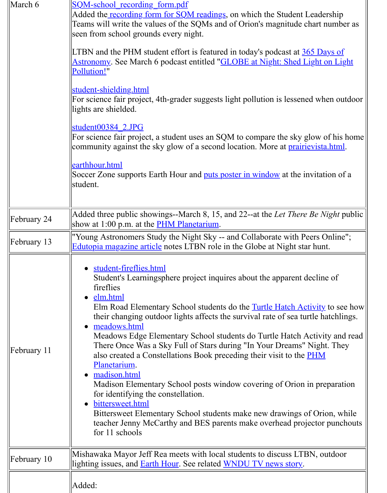|             | Pollution!"                                                                                                                                                                                                                                                                                                                                                                                                                                                                                                                                                                                                                                                                                                                                                                                                                                                                       |
|-------------|-----------------------------------------------------------------------------------------------------------------------------------------------------------------------------------------------------------------------------------------------------------------------------------------------------------------------------------------------------------------------------------------------------------------------------------------------------------------------------------------------------------------------------------------------------------------------------------------------------------------------------------------------------------------------------------------------------------------------------------------------------------------------------------------------------------------------------------------------------------------------------------|
|             | student-shielding.html<br>For science fair project, 4th-grader suggests light pollution is lessened whe<br>lights are shielded.                                                                                                                                                                                                                                                                                                                                                                                                                                                                                                                                                                                                                                                                                                                                                   |
|             | student00384 2.JPG<br>For science fair project, a student uses an SQM to compare the sky glow of<br>community against the sky glow of a second location. More at <b>prairievista</b> .                                                                                                                                                                                                                                                                                                                                                                                                                                                                                                                                                                                                                                                                                            |
|             | earthhour.html<br>Soccer Zone supports Earth Hour and <u>puts poster in window</u> at the invitation<br>student.                                                                                                                                                                                                                                                                                                                                                                                                                                                                                                                                                                                                                                                                                                                                                                  |
| February 24 | Added three public showings--March 8, 15, and 22--at the Let There Be Ni<br>show at 1:00 p.m. at the <b>PHM Planetarium</b> .                                                                                                                                                                                                                                                                                                                                                                                                                                                                                                                                                                                                                                                                                                                                                     |
| February 13 | "Young Astronomers Study the Night Sky -- and Collaborate with Peers Of<br><b>Edutopia magazine article</b> notes LTBN role in the Globe at Night star hunt                                                                                                                                                                                                                                                                                                                                                                                                                                                                                                                                                                                                                                                                                                                       |
| February 11 | student-fireflies.html<br>Student's Learningsphere project inquires about the apparent decline<br>fireflies<br><u>elm.html</u><br>Elm Road Elementary School students do the Turtle Hatch Activity t<br>their changing outdoor lights affects the survival rate of sea turtle ha<br>meadows.html<br>$\bullet$<br>Meadows Edge Elementary School students do Turtle Hatch Activity<br>There Once Was a Sky Full of Stars during "In Your Dreams" Night.<br>also created a Constellations Book preceding their visit to the <b>PHM</b><br>Planetarium.<br>madison.html<br>Madison Elementary School posts window covering of Orion in preparation.<br>for identifying the constellation.<br>bittersweet.html<br>$\bullet$<br>Bittersweet Elementary School students make new drawings of Orio<br>teacher Jenny McCarthy and BES parents make overhead projector p<br>for 11 schools |
| February 10 | Mishawaka Mayor Jeff Rea meets with local students to discuss LTBN, ou<br>lighting issues, and <b>Earth Hour</b> . See related <b>WNDU TV</b> news story.                                                                                                                                                                                                                                                                                                                                                                                                                                                                                                                                                                                                                                                                                                                         |
|             | Added:                                                                                                                                                                                                                                                                                                                                                                                                                                                                                                                                                                                                                                                                                                                                                                                                                                                                            |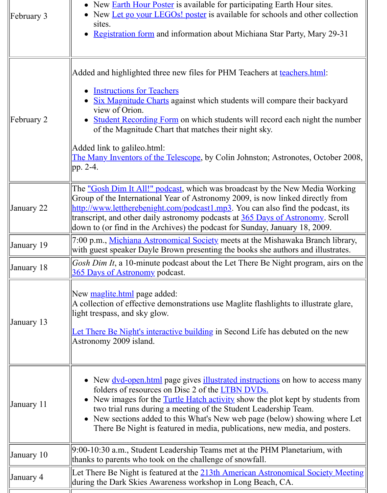|            | Added and highlighted three new files for PHM Teachers at teachers.html:                                                                                                                                                                                                                                                                                                                                                               |
|------------|----------------------------------------------------------------------------------------------------------------------------------------------------------------------------------------------------------------------------------------------------------------------------------------------------------------------------------------------------------------------------------------------------------------------------------------|
| February 2 | <b>Instructions for Teachers</b><br>• Six Magnitude Charts against which students will compare their bac<br>view of Orion.<br><b>Student Recording Form</b> on which students will record each night the<br>of the Magnitude Chart that matches their night sky.<br>Added link to galileo.html:<br><b>The Many Inventors of the Telescope</b> , by Colin Johnston; Astronotes, Octo<br>pp. 2-4.                                        |
| January 22 | The <u>"Gosh Dim It All!" podcast</u> , which was broadcast by the New Media V<br>Group of the International Year of Astronomy 2009, is now linked directly<br>http://www.lettherebenight.com/podcast1.mp3. You can also find the podca<br>transcript, and other daily astronomy podcasts at 365 Days of Astronomy.<br>down to (or find in the Archives) the podcast for Sunday, January 18, 2009                                      |
| January 19 | 7:00 p.m., Michiana Astronomical Society meets at the Mishawaka Branch<br>with guest speaker Dayle Brown presenting the books she authors and illus                                                                                                                                                                                                                                                                                    |
| January 18 | Gosh Dim It, a 10-minute podcast about the Let There Be Night program, a<br><b>365 Days of Astronomy podcast.</b>                                                                                                                                                                                                                                                                                                                      |
| January 13 | New maglite.html page added:<br>A collection of effective demonstrations use Maglite flashlights to illustrate<br>light trespass, and sky glow.<br>Let There Be Night's interactive building in Second Life has debuted on the<br>Astronomy 2009 island.                                                                                                                                                                               |
| January 11 | • New <u>dvd-open.html</u> page gives <b>illustrated</b> instructions on how to acc<br>folders of resources on Disc 2 of the LTBN DVDs.<br>• New images for the <b>Turtle Hatch activity</b> show the plot kept by stude<br>two trial runs during a meeting of the Student Leadership Team.<br>• New sections added to this What's New web page (below) showing<br>There Be Night is featured in media, publications, new media, and p |
| January 10 | 9:00-10:30 a.m., Student Leadership Teams met at the PHM Planetarium, v<br>thanks to parents who took on the challenge of snowfall.                                                                                                                                                                                                                                                                                                    |
| January 4  | Let There Be Night is featured at the 213th American Astronomical Societ<br>during the Dark Skies Awareness workshop in Long Beach, CA.                                                                                                                                                                                                                                                                                                |
|            |                                                                                                                                                                                                                                                                                                                                                                                                                                        |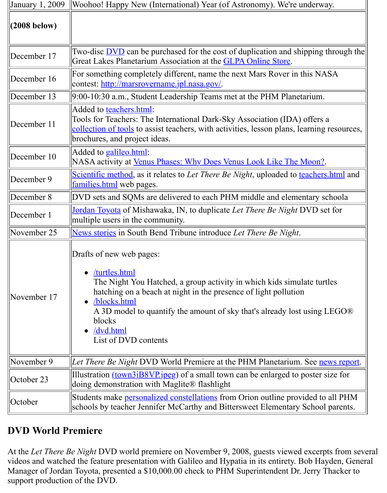| December 16 | For something completely different, name the next Mars Rover in this NA.<br>contest: http://marsrovername.jpl.nasa.gov/.                                                                                                                                                                                    |
|-------------|-------------------------------------------------------------------------------------------------------------------------------------------------------------------------------------------------------------------------------------------------------------------------------------------------------------|
| December 13 | $9:00-10:30$ a.m., Student Leadership Teams met at the PHM Planetarium.                                                                                                                                                                                                                                     |
| December 11 | Added to teachers.html:<br>Tools for Teachers: The International Dark-Sky Association (IDA) offers a<br>collection of tools to assist teachers, with activities, lesson plans, learning<br>brochures, and project ideas.                                                                                    |
| December 10 | Added to galileo.html:<br>NASA activity at <u>Venus Phases: Why Does Venus Look Like The Moon?</u> .                                                                                                                                                                                                        |
| December 9  | Scientific method, as it relates to Let There Be Night, uploaded to teachers.<br>families.html web pages.                                                                                                                                                                                                   |
| December 8  | DVD sets and SQMs are delivered to each PHM middle and elementary sc                                                                                                                                                                                                                                        |
| December 1  | <u>Jordan Toyota</u> of Mishawaka, IN, to duplicate Let There Be Night DVD set<br>multiple users in the community.                                                                                                                                                                                          |
| November 25 | News stories in South Bend Tribune introduce Let There Be Night.                                                                                                                                                                                                                                            |
|             | Drafts of new web pages:                                                                                                                                                                                                                                                                                    |
| November 17 | /turtles.html<br>$\bullet$<br>The Night You Hatched, a group activity in which kids simulate turt<br>hatching on a beach at night in the presence of light pollution<br>/blocks.html<br>A 3D model to quantify the amount of sky that's already lost using L<br>blocks<br>/dvd.html<br>List of DVD contents |
| November 9  |                                                                                                                                                                                                                                                                                                             |
| October 23  | Let There Be Night DVD World Premiere at the PHM Planetarium. See ney<br>Illustration <u>(town3jB8VP.jpeg</u> ) of a small town can be enlarged to poster si<br>doing demonstration with Maglite® flashlight                                                                                                |

### **DVD World Premiere**

At the *Let There Be Night DVD world premiere on November 9, 2008, guests viewed excerpt* videos and watched the feature pr[esentation with Galileo and](http://www.nightwise.org/kidart.htm) Hypatia in its entirety. Bob Hay Manager of Jordan Toyota, presented a \$10,000.00 check to PHM Superintendent Dr. Jerry T support production of the DVD.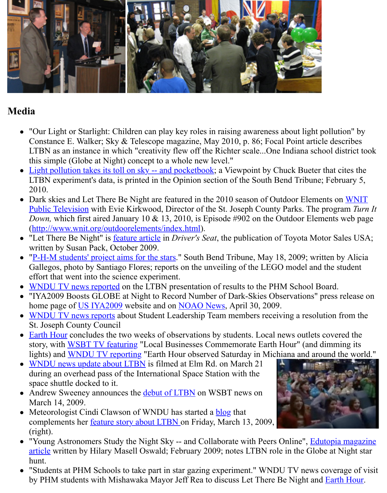

## **Media**

- "Our Light or Starlight: Children can play key roles in raising awareness about light po Constance E. Walker; Sky & Telescope magazine, May 2010, p. 86; Focal Point article LTBN as an instance in which "creativity flew off the Richter scale...One Indiana school this simple (Globe at Night) concept to a whole new level."
- Light pollution takes its toll on sky -- and pocketbook; a Viewpoint by Chuck Bueter th LTBN experiment's data, is printed in the Opinion section of the South Bend Tribune; F 2010.
- Dark skies and Let There Be Night are featured in the 2010 season of Outdoor Element Public Television with Evie Kirkwood, Director of the St. Joseph County Parks. The pr *Down,* which first aired January 10  $\&$  13, 2010, is Episode #902 on the Outdoor Eleme (http://www.wnit.org/outdoorelements/index.html).
- "Let There Be Night" is <u>feature article</u> in *Driver's Seat*, the publication of Toyota Moto written by Susan Pack, October 2009.
- "P-H-M students' project aims for the stars." South Bend Tribune, May 18, 2009; written Gallegos, photo by Santiago Flores; reports on the unveiling of the LEGO model and the effort that went into the science experiment.
- WNDU TV news reported on the LTBN presentation of results to the PHM School Boa
- ["IYA2009 Boosts GLOBE at Night to Record Num](http://www.wnit.org/outdoorelements/index.html)ber of Dark-Skies Observations" pre home page of US IYA2[009 website an](http://www.toyotadriverseat.com/pr/tds/let-there-be-night.aspx)d on NOAO News, April 30, 2009.
- WNDU TV news reports about Student Leadership Team members receiving a resolution [St. Joseph County Council](http://www.lettherebenight.com/The%20South%20Bend%20Tribune%20reports%20on%20the%20unveiling%20of%20the%20LEGO%20model%20and%20the%20student%20effort%20that%20went%20into%20the%20science%20experiment.)
- Earth Hour concludes the two weeks of observations by students. Local news outlets co story, with WSBT TV featuring "Local Businesses Commemorate Earth Hour" (and direction [lights\) and WNDU TV rep](http://www.wndu.com/localnews/headlines/44758897.html)orting "Earth Hour observed Saturday in Michiana and around the world."
- WNDU news update about LTBN is filmed at Elm Rd. on March 21 during an ove[rhead pass of](http://astronomy2009.us/home/) the Internationa[l Space Statio](http://www.noao.edu/outreach/press/pr09/pr0902.html)n with the [space shuttle docked to it](http://de.truveo.com/Local-students-honored-for-Let-There-Be-Night/id/108086442470798593).
- Andrew Sweeney announces the **debut of LTBN** on WSBT news on [March 14, 2](http://www.lettherebenight.com/earthhour.html)009.
- Meteorolo[gist Cindi Clawson of](http://www.wsbt.com/news/local/42065522.html) WNDU has started a **blog** that  $\bullet$ compleme[nts her feature story ab](http://www.wndu.com/localnews/headlines/42061772.html)out LTBN on Friday, March 13, 2009, [\(right\).](http://www.wndu.com/localnews/headlines/41659322.html#)
- "Young Astronomers Study the Night Sky -- and Collaborate with Peers Online", Eduto article written by Hilary Masell [Oswald; Februar](http://www.wsbt.com/news/local/41254417.html)y 2009; notes LTBN role in the Globe hunt.
- "Students at PHM Schools to take part in star gazing experiment." WNDU TV news co by PHM students [with Mishawaka Mayor Je](http://www.wndu.com/blogs/mike_weather/41227747.html)ff Rea to [discu](http://www.wndu.com/blogs/mike_weather/41227747.html)ss Let There Be Night and  $\underline{\mathbf{F}}$

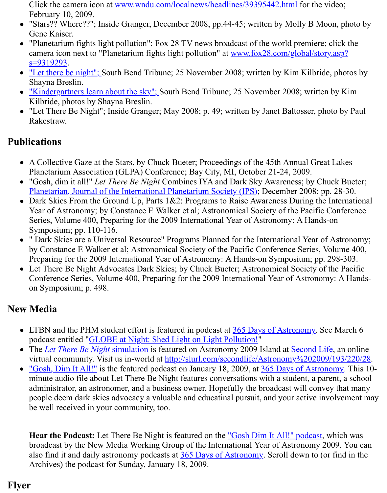- "Let there be night"; So[uth Bend Tribune; 25 November 2008; written by Kim](http://www.wndu.com/localnews/headlines/39395442.html) Kilbride Shayna Breslin.
- "Kindergartners learn about the sky"; South Bend Tribune; 25 November 2008; written Kilbride, photos by Shayna Breslin.
- "Let There Be Night"; Inside Granger; May 2008; p. 49; written by Janet Baltosser, photo [Rakestraw.](http://www.fox28.com/global/story.asp?s=9319293)

## **Publ[ications](http://www.southbendtribune.com/apps/pbcs.dll/article?AID=/20081124/NEWS04/811240067)**

- [A Collective Gaze at the Stars, by Chu](http://www.southbendtribune.com/apps/pbcs.dll/article?AID=/20081124/News04/811240065)ck Bueter; Proceedings of the 45th Annual Great Planetarium Association (GLPA) Conference; Bay City, MI, October 21-24, 2009.
- "Gosh, dim it all!" *Let There Be Night* Combines IYA and Dark Sky Awareness; by Chu Planetarian, Journal of the International Planetarium Society (IPS); December 2008; pp.
- Dark Skies From the Ground Up, Parts  $1&&2$ : Programs to Raise Awareness During the Year of Astronomy; by Constance E Walker et al; Astronomical Society of the Pacific Conference Series, Volume 400, Preparing for the 2009 International Year of Astronomy: A Hands-Symposium; pp. 110-116.
- " Dark Skies are a Universal Resource" Programs Planned for the International Year of by Constance E Walker et al; Astronomical Society of the Pacific Conference Series, V [Preparing for the 2009 International Year of Astronomy: A Hands-](http://www.ips-planetarium.org/planetarian/index.html)on Symposium; pp. 2
- Let There Be Night Advocates Dark Skies; by Chuck Bueter; Astronomical Society of Conference Series, Volume 400, Preparing for the 2009 International Year of Astronom on Symposium; p. 498.

#### **New Media**

- LTBN and the PHM student effort is featured in podcast at  $365$  Days of Astronomy. Se podcast entitled "GLOBE at Night: Shed Light on Light Pollution!"
- The *Let There Be Night* simulation is featured on Astronomy 2009 Island at **Second Lif** virtual community. Visit us in-world at http://slurl.com/secondlife/Astronomy%202009
- "Gosh, Dim It All!" is the featured podcast on January 18, 2009, at 365 Days of Astron minute audio file about Let There Be Night features conversations with a student, a par administrator, an astronomer, and a business owner. Hopefully the broadcast will conve people deem dark skies advocacy a valuable and educatina[l pursuit, and your active](http://365daysofastronomy.org/) inv be [well received](http://slurl.com/secondlife/Astronomy%202009/193/220/28) [in your community, too.](http://365daysofastronomy.org/2009/03/06/march-6/)

**[Hear the Podcast:](http://www.lettherebenight.com/podcast1.mp3)** Let There Be Night is featured on the "Gosh Dim It All!" podcast, where broadcast by the New Media Working Group of the International Year of Astronomy 20 also find it and daily astronomy podcasts at 365 Days of Astronomy. Scroll down to (or Archives) the podcast for Sunday, January 18, 2009.

# **Flyer**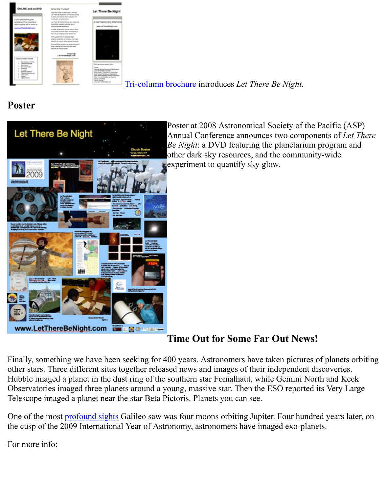

Tri-column brochure introduces *Let There Be Night*.

## **[Poster](http://www.lettherebenight.com/Brochure%2008-10-28.pdf)**



Poster at 2008 Astronomical Society of the Pacific (ASP) Annual Conference announces two components *Be Night*: a DVD featuring the planetarium program [other dar](http://www.lettherebenight.com/Brochure%2008-10-28.pdf)k sky resources, and the community-w experiment to quantify sky glow.

#### **Time Out for Some Far Out News!**

Finally, something we have been seeking for 400 years. Astronomers have taken pictures of p other stars. Three different sites together released news and images of their independent discoveries. Hubble imaged a planet in the dust ring of the southern star Fomalhaut, while Gemini North and Keckhai Observatories imaged three planets around a young, massive star. Then the ESO reported its V Telescope imaged a planet near the star Beta Pictoris. Planets you can see.

One of the most **profound sights** Galileo saw was four moons orbiting Jupiter. Four hundred y the cusp of the 2009 International Year of Astronomy, astronomers have imaged exo-planets.

For more info: